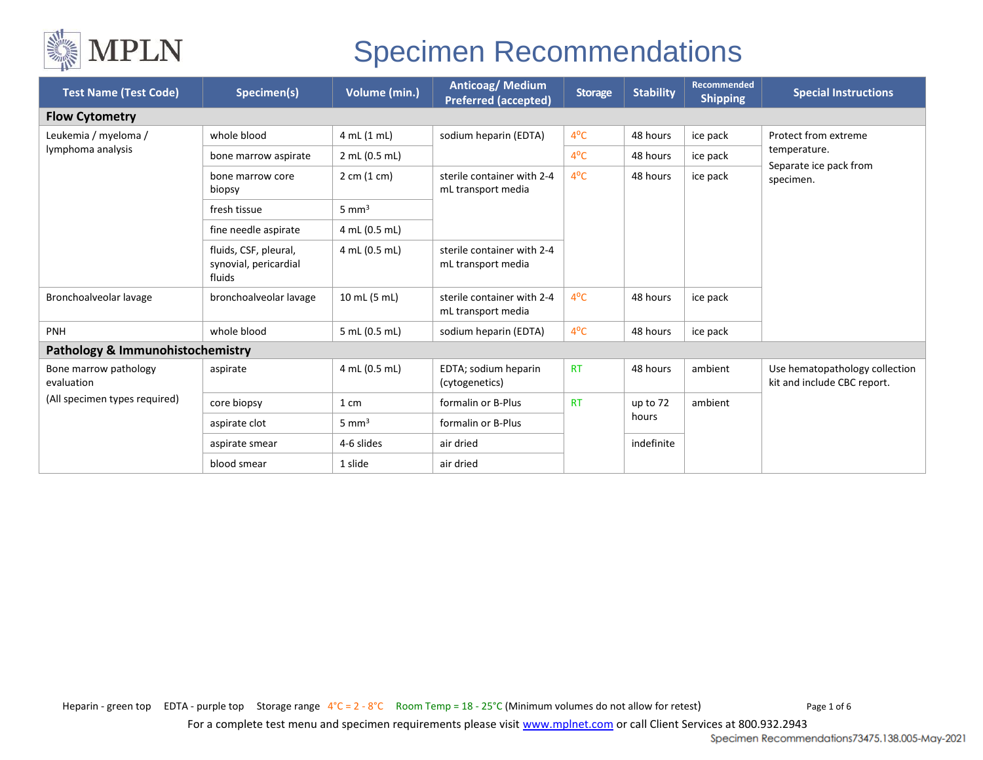

| <b>Test Name (Test Code)</b>                | Specimen(s)                                              | Volume (min.)                  | <b>Anticoag/Medium</b><br><b>Preferred (accepted)</b> | <b>Storage</b> | <b>Stability</b> | <b>Recommended</b><br><b>Shipping</b> | <b>Special Instructions</b>                                                 |  |  |
|---------------------------------------------|----------------------------------------------------------|--------------------------------|-------------------------------------------------------|----------------|------------------|---------------------------------------|-----------------------------------------------------------------------------|--|--|
| <b>Flow Cytometry</b>                       |                                                          |                                |                                                       |                |                  |                                       |                                                                             |  |  |
| Leukemia / myeloma /<br>lymphoma analysis   | whole blood                                              | 4 mL (1 mL)                    | sodium heparin (EDTA)                                 | $4^{\circ}$ C  | 48 hours         | ice pack                              | Protect from extreme<br>temperature.<br>Separate ice pack from<br>specimen. |  |  |
|                                             | bone marrow aspirate                                     | 2 mL (0.5 mL)                  |                                                       | $4^{\circ}$ C  | 48 hours         | ice pack                              |                                                                             |  |  |
|                                             | bone marrow core<br>biopsy                               | $2 \text{ cm } (1 \text{ cm})$ | sterile container with 2-4<br>mL transport media      | $4^{\circ}$ C  | 48 hours         | ice pack                              |                                                                             |  |  |
|                                             | fresh tissue                                             | $5 \text{ mm}^3$               |                                                       |                |                  |                                       |                                                                             |  |  |
|                                             | fine needle aspirate                                     | 4 mL (0.5 mL)                  |                                                       |                |                  |                                       |                                                                             |  |  |
|                                             | fluids, CSF, pleural,<br>synovial, pericardial<br>fluids | 4 mL (0.5 mL)                  | sterile container with 2-4<br>mL transport media      |                |                  |                                       |                                                                             |  |  |
| Bronchoalveolar lavage                      | bronchoalveolar lavage                                   | 10 mL (5 mL)                   | sterile container with 2-4<br>mL transport media      | $4^{\circ}$ C  | 48 hours         | ice pack                              |                                                                             |  |  |
| <b>PNH</b>                                  | whole blood                                              | 5 mL (0.5 mL)                  | sodium heparin (EDTA)                                 | $4^{\circ}$ C  | 48 hours         | ice pack                              |                                                                             |  |  |
| <b>Pathology &amp; Immunohistochemistry</b> |                                                          |                                |                                                       |                |                  |                                       |                                                                             |  |  |
| Bone marrow pathology<br>evaluation         | aspirate                                                 | 4 mL (0.5 mL)                  | EDTA; sodium heparin<br>(cytogenetics)                | <b>RT</b>      | 48 hours         | ambient                               | Use hematopathology collection<br>kit and include CBC report.               |  |  |
| (All specimen types required)               | core biopsy                                              | 1 cm                           | formalin or B-Plus                                    | <b>RT</b>      | up to 72         | ambient                               |                                                                             |  |  |
|                                             | aspirate clot                                            | $5 \text{ mm}^3$               | formalin or B-Plus                                    |                | hours            |                                       |                                                                             |  |  |
|                                             | aspirate smear                                           | 4-6 slides                     | air dried                                             |                | indefinite       |                                       |                                                                             |  |  |
|                                             | blood smear                                              | 1 slide                        | air dried                                             |                |                  |                                       |                                                                             |  |  |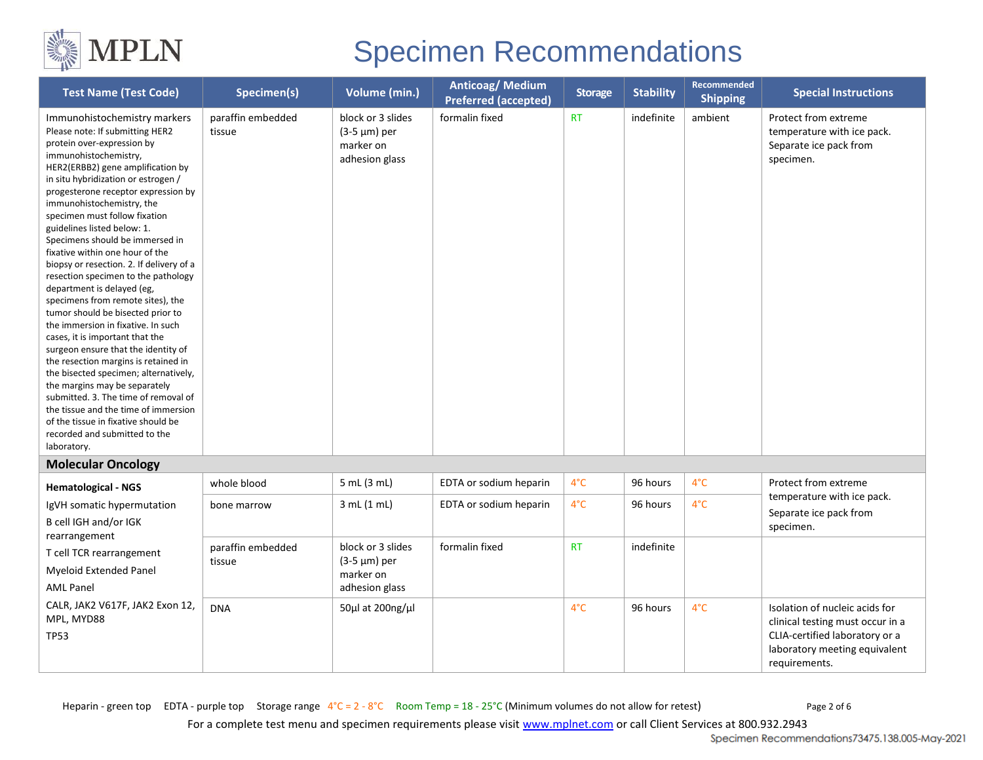

| <b>Test Name (Test Code)</b>                                                                                                                                                                                                                                                                                                                                                                                                                                                                                                                                                                                                                                                                                                                                                                                                                                                                                                                                                                                     | Specimen(s)                 | Volume (min.)                                                    | Anticoag/Medium<br><b>Preferred (accepted)</b> | <b>Storage</b> | <b>Stability</b> | Recommended<br><b>Shipping</b> | <b>Special Instructions</b>                                                                                                                            |
|------------------------------------------------------------------------------------------------------------------------------------------------------------------------------------------------------------------------------------------------------------------------------------------------------------------------------------------------------------------------------------------------------------------------------------------------------------------------------------------------------------------------------------------------------------------------------------------------------------------------------------------------------------------------------------------------------------------------------------------------------------------------------------------------------------------------------------------------------------------------------------------------------------------------------------------------------------------------------------------------------------------|-----------------------------|------------------------------------------------------------------|------------------------------------------------|----------------|------------------|--------------------------------|--------------------------------------------------------------------------------------------------------------------------------------------------------|
| Immunohistochemistry markers<br>Please note: If submitting HER2<br>protein over-expression by<br>immunohistochemistry,<br>HER2(ERBB2) gene amplification by<br>in situ hybridization or estrogen /<br>progesterone receptor expression by<br>immunohistochemistry, the<br>specimen must follow fixation<br>guidelines listed below: 1.<br>Specimens should be immersed in<br>fixative within one hour of the<br>biopsy or resection. 2. If delivery of a<br>resection specimen to the pathology<br>department is delayed (eg,<br>specimens from remote sites), the<br>tumor should be bisected prior to<br>the immersion in fixative. In such<br>cases, it is important that the<br>surgeon ensure that the identity of<br>the resection margins is retained in<br>the bisected specimen; alternatively,<br>the margins may be separately<br>submitted. 3. The time of removal of<br>the tissue and the time of immersion<br>of the tissue in fixative should be<br>recorded and submitted to the<br>laboratory. | paraffin embedded<br>tissue | block or 3 slides<br>(3-5 µm) per<br>marker on<br>adhesion glass | formalin fixed                                 | <b>RT</b>      | indefinite       | ambient                        | Protect from extreme<br>temperature with ice pack.<br>Separate ice pack from<br>specimen.                                                              |
| <b>Molecular Oncology</b>                                                                                                                                                                                                                                                                                                                                                                                                                                                                                                                                                                                                                                                                                                                                                                                                                                                                                                                                                                                        |                             |                                                                  |                                                |                |                  |                                |                                                                                                                                                        |
| <b>Hematological - NGS</b>                                                                                                                                                                                                                                                                                                                                                                                                                                                                                                                                                                                                                                                                                                                                                                                                                                                                                                                                                                                       | whole blood                 | 5 mL (3 mL)                                                      | EDTA or sodium heparin                         | $4^{\circ}$ C  | 96 hours         | $4^{\circ}C$                   | Protect from extreme<br>temperature with ice pack.                                                                                                     |
| IgVH somatic hypermutation<br>B cell IGH and/or IGK<br>rearrangement<br>T cell TCR rearrangement<br><b>Myeloid Extended Panel</b><br><b>AML Panel</b>                                                                                                                                                                                                                                                                                                                                                                                                                                                                                                                                                                                                                                                                                                                                                                                                                                                            | bone marrow                 | 3 mL (1 mL)                                                      | EDTA or sodium heparin                         | $4^{\circ}$ C  | 96 hours         | $4^{\circ}$ C                  | Separate ice pack from<br>specimen.                                                                                                                    |
|                                                                                                                                                                                                                                                                                                                                                                                                                                                                                                                                                                                                                                                                                                                                                                                                                                                                                                                                                                                                                  | paraffin embedded<br>tissue | block or 3 slides<br>(3-5 µm) per<br>marker on<br>adhesion glass | formalin fixed                                 | <b>RT</b>      | indefinite       |                                |                                                                                                                                                        |
| CALR, JAK2 V617F, JAK2 Exon 12,<br>MPL, MYD88<br><b>TP53</b>                                                                                                                                                                                                                                                                                                                                                                                                                                                                                                                                                                                                                                                                                                                                                                                                                                                                                                                                                     | <b>DNA</b>                  | 50µl at 200ng/µl                                                 |                                                | $4^{\circ}$ C  | 96 hours         | $4^{\circ}$ C                  | Isolation of nucleic acids for<br>clinical testing must occur in a<br>CLIA-certified laboratory or a<br>laboratory meeting equivalent<br>requirements. |

Heparin - green top EDTA - purple top Storage range  $4^{\circ}C = 2 - 8^{\circ}C$  Room Temp =  $18 - 25^{\circ}C$  (Minimum volumes do not allow for retest) Page 2 of 6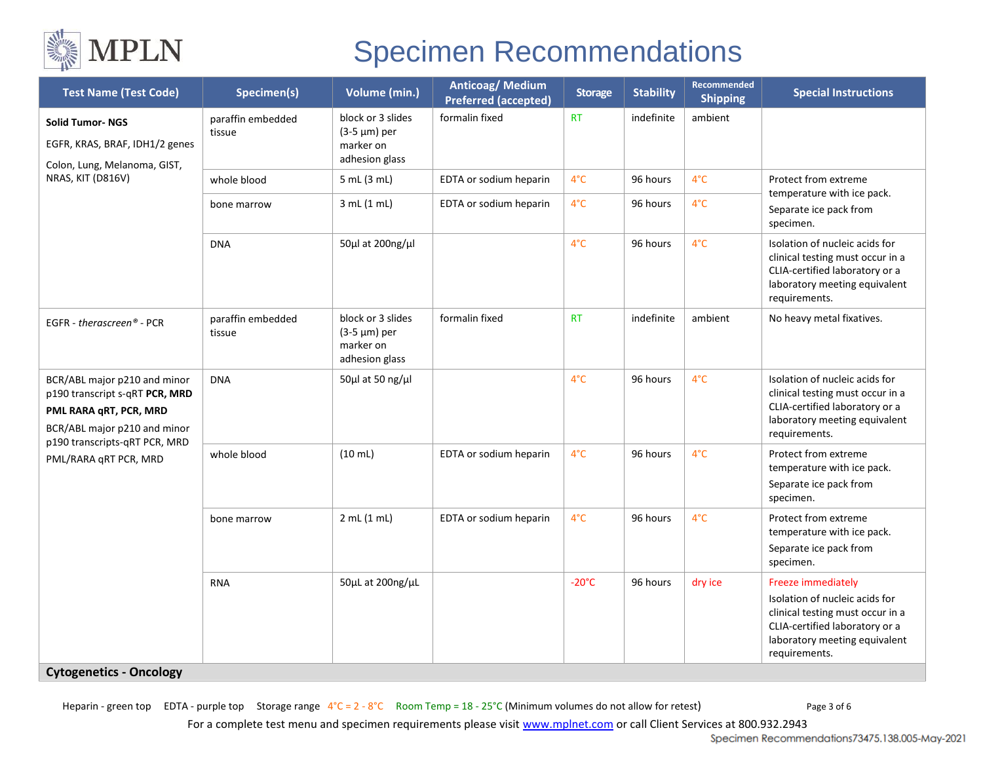

| <b>Test Name (Test Code)</b>                                                                                             | Specimen(s)                 | Volume (min.)                                                         | Anticoag/Medium<br><b>Preferred (accepted)</b> | <b>Storage</b>  | <b>Stability</b> | <b>Recommended</b><br><b>Shipping</b> | <b>Special Instructions</b>                                                                                                                                                  |
|--------------------------------------------------------------------------------------------------------------------------|-----------------------------|-----------------------------------------------------------------------|------------------------------------------------|-----------------|------------------|---------------------------------------|------------------------------------------------------------------------------------------------------------------------------------------------------------------------------|
| <b>Solid Tumor-NGS</b><br>EGFR, KRAS, BRAF, IDH1/2 genes<br>Colon, Lung, Melanoma, GIST,<br>NRAS, KIT (D816V)            | paraffin embedded<br>tissue | block or 3 slides<br>(3-5 µm) per<br>marker on<br>adhesion glass      | formalin fixed                                 | <b>RT</b>       | indefinite       | ambient                               |                                                                                                                                                                              |
|                                                                                                                          | whole blood                 | 5 mL (3 mL)                                                           | EDTA or sodium heparin                         | $4^{\circ}$ C   | 96 hours         | $4^{\circ}$ C                         | Protect from extreme<br>temperature with ice pack.<br>Separate ice pack from<br>specimen.                                                                                    |
|                                                                                                                          | bone marrow                 | 3 mL (1 mL)                                                           | EDTA or sodium heparin                         | $4^{\circ}$ C   | 96 hours         | $4^{\circ}$ C                         |                                                                                                                                                                              |
|                                                                                                                          | <b>DNA</b>                  | 50µl at 200ng/µl                                                      |                                                | $4^{\circ}$ C   | 96 hours         | $4^{\circ}$ C                         | Isolation of nucleic acids for<br>clinical testing must occur in a<br>CLIA-certified laboratory or a<br>laboratory meeting equivalent<br>requirements.                       |
| EGFR - therascreen® - PCR                                                                                                | paraffin embedded<br>tissue | block or 3 slides<br>$(3-5 \mu m)$ per<br>marker on<br>adhesion glass | formalin fixed                                 | <b>RT</b>       | indefinite       | ambient                               | No heavy metal fixatives.                                                                                                                                                    |
| BCR/ABL major p210 and minor<br>p190 transcript s-qRT PCR, MRD<br>PML RARA qRT, PCR, MRD<br>BCR/ABL major p210 and minor | <b>DNA</b>                  | 50 $\mu$ l at 50 ng/ $\mu$ l                                          |                                                | $4^{\circ}$ C   | 96 hours         | $4^{\circ}$ C                         | Isolation of nucleic acids for<br>clinical testing must occur in a<br>CLIA-certified laboratory or a<br>laboratory meeting equivalent<br>requirements.                       |
| p190 transcripts-qRT PCR, MRD<br>PML/RARA qRT PCR, MRD                                                                   | whole blood                 | $(10 \text{ mL})$                                                     | EDTA or sodium heparin                         | $4^{\circ}$ C   | 96 hours         | $4^{\circ}$ C                         | Protect from extreme<br>temperature with ice pack.<br>Separate ice pack from<br>specimen.                                                                                    |
|                                                                                                                          | bone marrow                 | 2 mL (1 mL)                                                           | EDTA or sodium heparin                         | $4^{\circ}$ C   | 96 hours         | $4^{\circ}$ C                         | Protect from extreme<br>temperature with ice pack.<br>Separate ice pack from<br>specimen.                                                                                    |
| <b>Cytogenetics - Oncology</b>                                                                                           | <b>RNA</b>                  | $50\mu$ L at $200$ ng/ $\mu$ L                                        |                                                | $-20^{\circ}$ C | 96 hours         | dry ice                               | Freeze immediately<br>Isolation of nucleic acids for<br>clinical testing must occur in a<br>CLIA-certified laboratory or a<br>laboratory meeting equivalent<br>requirements. |

Heparin - green top EDTA - purple top Storage range  $4^{\circ}C = 2 - 8^{\circ}C$  Room Temp = 18 - 25°C (Minimum volumes do not allow for retest) Page 3 of 6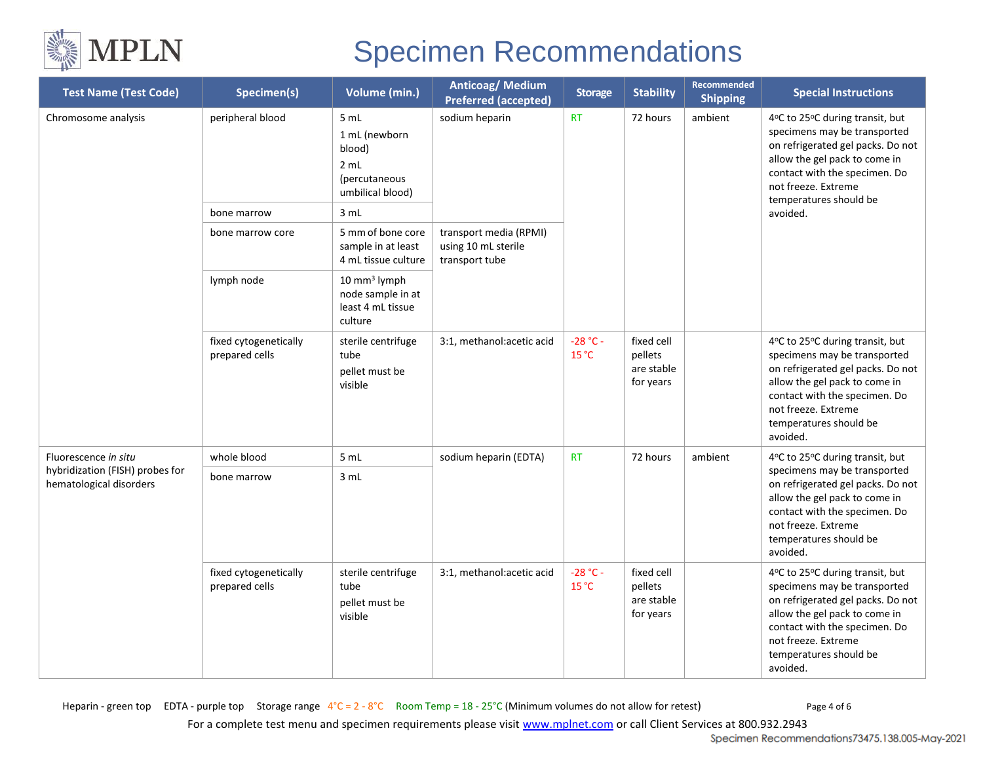

| <b>Test Name (Test Code)</b>                                                       | Specimen(s)                             | Volume (min.)                                                                        | <b>Anticoag/ Medium</b><br><b>Preferred (accepted)</b>          | <b>Storage</b>      | <b>Stability</b>                                 | Recommended<br><b>Shipping</b> | <b>Special Instructions</b>                                                                                                                                                                                                         |
|------------------------------------------------------------------------------------|-----------------------------------------|--------------------------------------------------------------------------------------|-----------------------------------------------------------------|---------------------|--------------------------------------------------|--------------------------------|-------------------------------------------------------------------------------------------------------------------------------------------------------------------------------------------------------------------------------------|
| Chromosome analysis                                                                | peripheral blood<br>bone marrow         | 5 mL<br>1 mL (newborn<br>blood)<br>2 mL<br>(percutaneous<br>umbilical blood)<br>3 mL | sodium heparin                                                  | <b>RT</b>           | 72 hours                                         | ambient                        | 4°C to 25°C during transit, but<br>specimens may be transported<br>on refrigerated gel packs. Do not<br>allow the gel pack to come in<br>contact with the specimen. Do<br>not freeze. Extreme<br>temperatures should be<br>avoided. |
|                                                                                    | bone marrow core                        | 5 mm of bone core<br>sample in at least<br>4 mL tissue culture                       | transport media (RPMI)<br>using 10 mL sterile<br>transport tube |                     |                                                  |                                |                                                                                                                                                                                                                                     |
|                                                                                    | lymph node                              | 10 mm <sup>3</sup> lymph<br>node sample in at<br>least 4 mL tissue<br>culture        |                                                                 |                     |                                                  |                                |                                                                                                                                                                                                                                     |
|                                                                                    | fixed cytogenetically<br>prepared cells | sterile centrifuge<br>tube<br>pellet must be<br>visible                              | 3:1, methanol: acetic acid                                      | $-28 °C -$<br>15 °C | fixed cell<br>pellets<br>are stable<br>for years |                                | 4°C to 25°C during transit, but<br>specimens may be transported<br>on refrigerated gel packs. Do not<br>allow the gel pack to come in<br>contact with the specimen. Do<br>not freeze. Extreme<br>temperatures should be<br>avoided. |
| Fluorescence in situ<br>hybridization (FISH) probes for<br>hematological disorders | whole blood                             | 5 mL                                                                                 | sodium heparin (EDTA)                                           | <b>RT</b>           | 72 hours                                         | ambient                        | 4°C to 25°C during transit, but<br>specimens may be transported<br>on refrigerated gel packs. Do not<br>allow the gel pack to come in<br>contact with the specimen. Do<br>not freeze. Extreme<br>temperatures should be<br>avoided. |
|                                                                                    | bone marrow                             | 3 mL                                                                                 |                                                                 |                     |                                                  |                                |                                                                                                                                                                                                                                     |
|                                                                                    | fixed cytogenetically<br>prepared cells | sterile centrifuge<br>tube<br>pellet must be<br>visible                              | 3:1, methanol:acetic acid                                       | $-28 °C -$<br>15 °C | fixed cell<br>pellets<br>are stable<br>for years |                                | 4°C to 25°C during transit, but<br>specimens may be transported<br>on refrigerated gel packs. Do not<br>allow the gel pack to come in<br>contact with the specimen. Do<br>not freeze. Extreme<br>temperatures should be<br>avoided. |

Heparin - green top EDTA - purple top Storage range  $4^{\circ}$ C = 2 - 8°C Room Temp = 18 - 25°C (Minimum volumes do not allow for retest) Page 4 of 6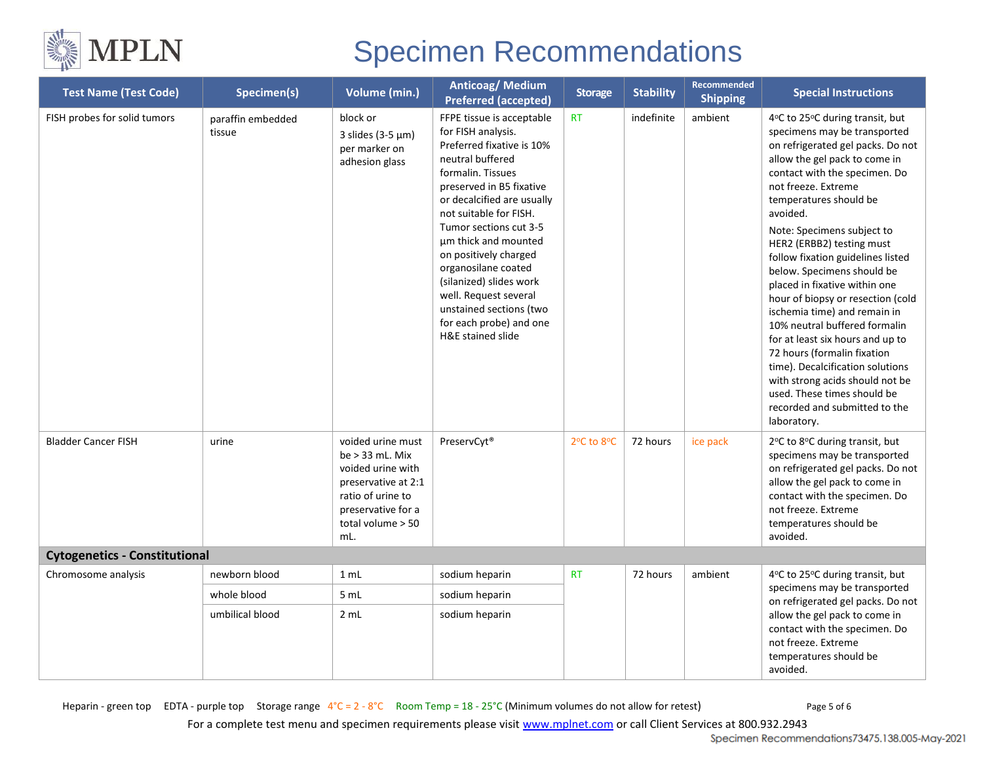

| <b>Test Name (Test Code)</b>         | Specimen(s)                 | Volume (min.)                                                                                                                                             | Anticoag/Medium<br><b>Preferred (accepted)</b>                                                                                                                                                                                                                                                                                                                                                                                             | <b>Storage</b> | <b>Stability</b> | <b>Recommended</b><br><b>Shipping</b>                                                                                       | <b>Special Instructions</b>                                                                                                                                                                                                                                                                                                                                                                                                                                                                                                                                                                                                                                                                                                       |  |
|--------------------------------------|-----------------------------|-----------------------------------------------------------------------------------------------------------------------------------------------------------|--------------------------------------------------------------------------------------------------------------------------------------------------------------------------------------------------------------------------------------------------------------------------------------------------------------------------------------------------------------------------------------------------------------------------------------------|----------------|------------------|-----------------------------------------------------------------------------------------------------------------------------|-----------------------------------------------------------------------------------------------------------------------------------------------------------------------------------------------------------------------------------------------------------------------------------------------------------------------------------------------------------------------------------------------------------------------------------------------------------------------------------------------------------------------------------------------------------------------------------------------------------------------------------------------------------------------------------------------------------------------------------|--|
| FISH probes for solid tumors         | paraffin embedded<br>tissue | block or<br>3 slides (3-5 $\mu$ m)<br>per marker on<br>adhesion glass                                                                                     | FFPE tissue is acceptable<br>for FISH analysis.<br>Preferred fixative is 10%<br>neutral buffered<br>formalin. Tissues<br>preserved in B5 fixative<br>or decalcified are usually<br>not suitable for FISH.<br>Tumor sections cut 3-5<br>um thick and mounted<br>on positively charged<br>organosilane coated<br>(silanized) slides work<br>well. Request several<br>unstained sections (two<br>for each probe) and one<br>H&E stained slide | <b>RT</b>      | indefinite       | ambient                                                                                                                     | 4°C to 25°C during transit, but<br>specimens may be transported<br>on refrigerated gel packs. Do not<br>allow the gel pack to come in<br>contact with the specimen. Do<br>not freeze. Extreme<br>temperatures should be<br>avoided.<br>Note: Specimens subject to<br>HER2 (ERBB2) testing must<br>follow fixation guidelines listed<br>below. Specimens should be<br>placed in fixative within one<br>hour of biopsy or resection (cold<br>ischemia time) and remain in<br>10% neutral buffered formalin<br>for at least six hours and up to<br>72 hours (formalin fixation<br>time). Decalcification solutions<br>with strong acids should not be<br>used. These times should be<br>recorded and submitted to the<br>laboratory. |  |
| <b>Bladder Cancer FISH</b>           | urine                       | voided urine must<br>be $>$ 33 mL. Mix<br>voided urine with<br>preservative at 2:1<br>ratio of urine to<br>preservative for a<br>total volume > 50<br>mL. | PreservCyt <sup>®</sup>                                                                                                                                                                                                                                                                                                                                                                                                                    | 2°C to 8°C     | 72 hours         | ice pack                                                                                                                    | 2°C to 8°C during transit, but<br>specimens may be transported<br>on refrigerated gel packs. Do not<br>allow the gel pack to come in<br>contact with the specimen. Do<br>not freeze. Extreme<br>temperatures should be<br>avoided.                                                                                                                                                                                                                                                                                                                                                                                                                                                                                                |  |
| <b>Cytogenetics - Constitutional</b> |                             |                                                                                                                                                           |                                                                                                                                                                                                                                                                                                                                                                                                                                            |                |                  |                                                                                                                             |                                                                                                                                                                                                                                                                                                                                                                                                                                                                                                                                                                                                                                                                                                                                   |  |
| Chromosome analysis                  | newborn blood               | 1 mL                                                                                                                                                      | sodium heparin                                                                                                                                                                                                                                                                                                                                                                                                                             | <b>RT</b>      | 72 hours         | ambient                                                                                                                     | 4°C to 25°C during transit, but<br>specimens may be transported                                                                                                                                                                                                                                                                                                                                                                                                                                                                                                                                                                                                                                                                   |  |
|                                      | whole blood                 | 5 mL                                                                                                                                                      | sodium heparin                                                                                                                                                                                                                                                                                                                                                                                                                             |                |                  |                                                                                                                             | on refrigerated gel packs. Do not                                                                                                                                                                                                                                                                                                                                                                                                                                                                                                                                                                                                                                                                                                 |  |
|                                      | 2 mL<br>umbilical blood     | sodium heparin                                                                                                                                            |                                                                                                                                                                                                                                                                                                                                                                                                                                            |                |                  | allow the gel pack to come in<br>contact with the specimen. Do<br>not freeze. Extreme<br>temperatures should be<br>avoided. |                                                                                                                                                                                                                                                                                                                                                                                                                                                                                                                                                                                                                                                                                                                                   |  |

Heparin - green top EDTA - purple top Storage range  $4^{\circ}C = 2 - 8^{\circ}C$  Room Temp = 18 - 25°C (Minimum volumes do not allow for retest) Page 5 of 6